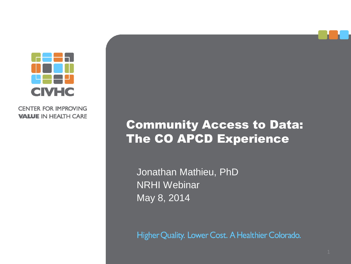

**CENTER FOR IMPROVING VALUE IN HEALTH CARE** 

#### Community Access to Data: The CO APCD Experience

Jonathan Mathieu, PhD NRHI Webinar May 8, 2014

Higher Quality. Lower Cost. A Healthier Colorado.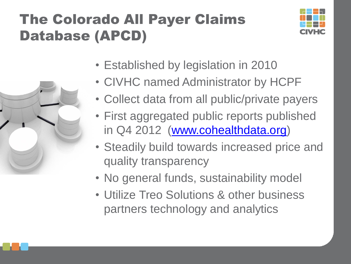## The Colorado All Payer Claims Database (APCD)





- CIVHC named Administrator by HCPF
- Collect data from all public/private payers
- First aggregated public reports published in Q4 2012 [\(www.cohealthdata.org](http://www.cohealthdata.org/))
- Steadily build towards increased price and quality transparency
- No general funds, sustainability model
- Utilize Treo Solutions & other business partners technology and analytics

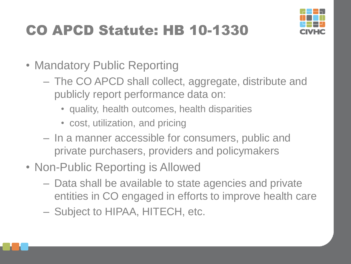# CO APCD Statute: HB 10-1330



- Mandatory Public Reporting
	- The CO APCD shall collect, aggregate, distribute and publicly report performance data on:
		- quality, health outcomes, health disparities
		- cost, utilization, and pricing
	- In a manner accessible for consumers, public and private purchasers, providers and policymakers
- Non-Public Reporting is Allowed
	- Data shall be available to state agencies and private entities in CO engaged in efforts to improve health care
	- Subject to HIPAA, HITECH, etc.

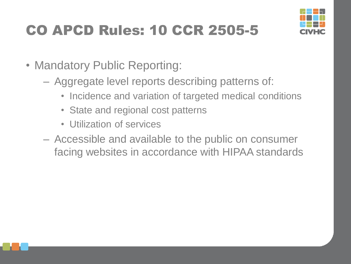# CO APCD Rules: 10 CCR 2505-5



- Mandatory Public Reporting:
	- Aggregate level reports describing patterns of:
		- Incidence and variation of targeted medical conditions
		- State and regional cost patterns
		- Utilization of services
	- Accessible and available to the public on consumer facing websites in accordance with HIPAA standards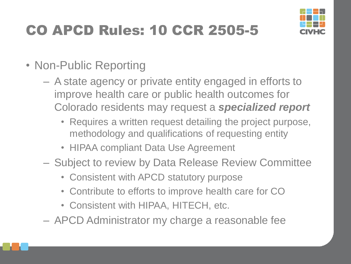# CO APCD Rules: 10 CCR 2505-5



- Non-Public Reporting
	- A state agency or private entity engaged in efforts to improve health care or public health outcomes for Colorado residents may request a *specialized report*
		- Requires a written request detailing the project purpose, methodology and qualifications of requesting entity
		- HIPAA compliant Data Use Agreement
	- Subject to review by Data Release Review Committee
		- Consistent with APCD statutory purpose
		- Contribute to efforts to improve health care for CO
		- Consistent with HIPAA, HITECH, etc.
	- APCD Administrator my charge a reasonable fee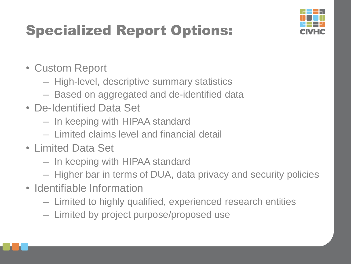# Specialized Report Options:



- Custom Report
	- High-level, descriptive summary statistics
	- Based on aggregated and de-identified data
- De-Identified Data Set
	- In keeping with HIPAA standard
	- Limited claims level and financial detail
- Limited Data Set
	- In keeping with HIPAA standard
	- Higher bar in terms of DUA, data privacy and security policies
- Identifiable Information
	- Limited to highly qualified, experienced research entities
	- Limited by project purpose/proposed use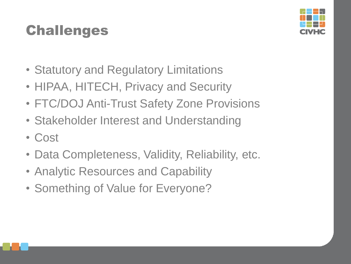## **Challenges**

- Statutory and Regulatory Limitations
- HIPAA, HITECH, Privacy and Security
- FTC/DOJ Anti-Trust Safety Zone Provisions
- Stakeholder Interest and Understanding
- Cost
- Data Completeness, Validity, Reliability, etc.
- Analytic Resources and Capability
- Something of Value for Everyone?